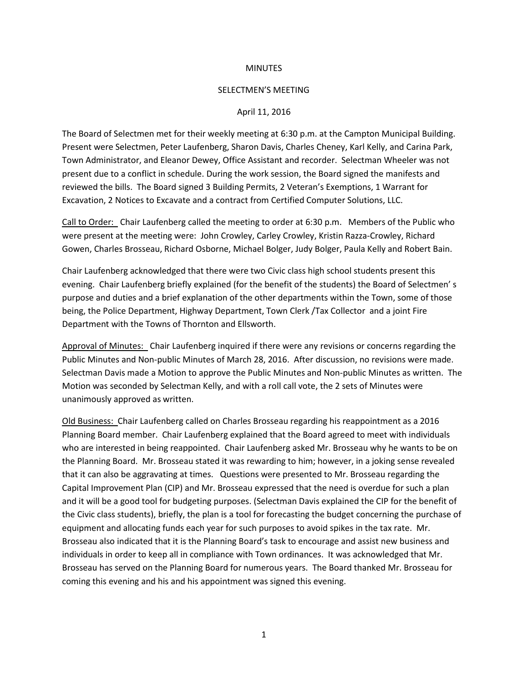## **MINUTES**

## SELECTMEN'S MEETING

## April 11, 2016

The Board of Selectmen met for their weekly meeting at 6:30 p.m. at the Campton Municipal Building. Present were Selectmen, Peter Laufenberg, Sharon Davis, Charles Cheney, Karl Kelly, and Carina Park, Town Administrator, and Eleanor Dewey, Office Assistant and recorder. Selectman Wheeler was not present due to a conflict in schedule. During the work session, the Board signed the manifests and reviewed the bills. The Board signed 3 Building Permits, 2 Veteran's Exemptions, 1 Warrant for Excavation, 2 Notices to Excavate and a contract from Certified Computer Solutions, LLC.

Call to Order: Chair Laufenberg called the meeting to order at 6:30 p.m. Members of the Public who were present at the meeting were: John Crowley, Carley Crowley, Kristin Razza-Crowley, Richard Gowen, Charles Brosseau, Richard Osborne, Michael Bolger, Judy Bolger, Paula Kelly and Robert Bain.

Chair Laufenberg acknowledged that there were two Civic class high school students present this evening. Chair Laufenberg briefly explained (for the benefit of the students) the Board of Selectmen' s purpose and duties and a brief explanation of the other departments within the Town, some of those being, the Police Department, Highway Department, Town Clerk /Tax Collector and a joint Fire Department with the Towns of Thornton and Ellsworth.

Approval of Minutes: Chair Laufenberg inquired if there were any revisions or concerns regarding the Public Minutes and Non-public Minutes of March 28, 2016. After discussion, no revisions were made. Selectman Davis made a Motion to approve the Public Minutes and Non-public Minutes as written. The Motion was seconded by Selectman Kelly, and with a roll call vote, the 2 sets of Minutes were unanimously approved as written.

Old Business: Chair Laufenberg called on Charles Brosseau regarding his reappointment as a 2016 Planning Board member. Chair Laufenberg explained that the Board agreed to meet with individuals who are interested in being reappointed. Chair Laufenberg asked Mr. Brosseau why he wants to be on the Planning Board. Mr. Brosseau stated it was rewarding to him; however, in a joking sense revealed that it can also be aggravating at times. Questions were presented to Mr. Brosseau regarding the Capital Improvement Plan (CIP) and Mr. Brosseau expressed that the need is overdue for such a plan and it will be a good tool for budgeting purposes. (Selectman Davis explained the CIP for the benefit of the Civic class students), briefly, the plan is a tool for forecasting the budget concerning the purchase of equipment and allocating funds each year for such purposes to avoid spikes in the tax rate. Mr. Brosseau also indicated that it is the Planning Board's task to encourage and assist new business and individuals in order to keep all in compliance with Town ordinances. It was acknowledged that Mr. Brosseau has served on the Planning Board for numerous years. The Board thanked Mr. Brosseau for coming this evening and his and his appointment was signed this evening.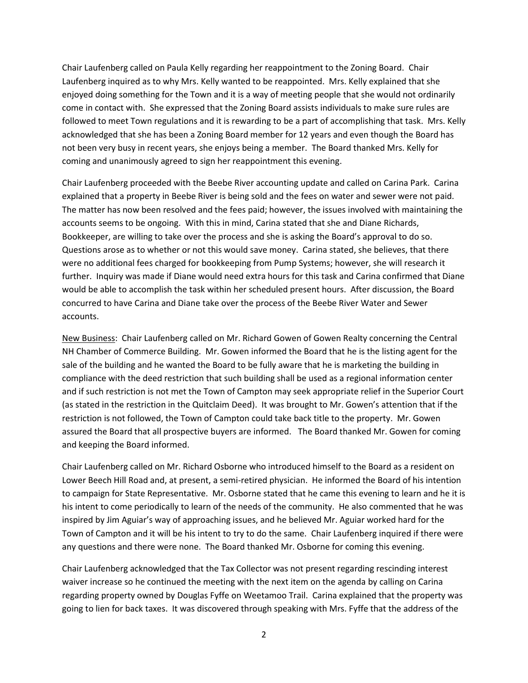Chair Laufenberg called on Paula Kelly regarding her reappointment to the Zoning Board. Chair Laufenberg inquired as to why Mrs. Kelly wanted to be reappointed. Mrs. Kelly explained that she enjoyed doing something for the Town and it is a way of meeting people that she would not ordinarily come in contact with. She expressed that the Zoning Board assists individuals to make sure rules are followed to meet Town regulations and it is rewarding to be a part of accomplishing that task. Mrs. Kelly acknowledged that she has been a Zoning Board member for 12 years and even though the Board has not been very busy in recent years, she enjoys being a member. The Board thanked Mrs. Kelly for coming and unanimously agreed to sign her reappointment this evening.

Chair Laufenberg proceeded with the Beebe River accounting update and called on Carina Park. Carina explained that a property in Beebe River is being sold and the fees on water and sewer were not paid. The matter has now been resolved and the fees paid; however, the issues involved with maintaining the accounts seems to be ongoing. With this in mind, Carina stated that she and Diane Richards, Bookkeeper, are willing to take over the process and she is asking the Board's approval to do so. Questions arose as to whether or not this would save money. Carina stated, she believes, that there were no additional fees charged for bookkeeping from Pump Systems; however, she will research it further. Inquiry was made if Diane would need extra hours for this task and Carina confirmed that Diane would be able to accomplish the task within her scheduled present hours. After discussion, the Board concurred to have Carina and Diane take over the process of the Beebe River Water and Sewer accounts.

New Business: Chair Laufenberg called on Mr. Richard Gowen of Gowen Realty concerning the Central NH Chamber of Commerce Building. Mr. Gowen informed the Board that he is the listing agent for the sale of the building and he wanted the Board to be fully aware that he is marketing the building in compliance with the deed restriction that such building shall be used as a regional information center and if such restriction is not met the Town of Campton may seek appropriate relief in the Superior Court (as stated in the restriction in the Quitclaim Deed). It was brought to Mr. Gowen's attention that if the restriction is not followed, the Town of Campton could take back title to the property. Mr. Gowen assured the Board that all prospective buyers are informed. The Board thanked Mr. Gowen for coming and keeping the Board informed.

Chair Laufenberg called on Mr. Richard Osborne who introduced himself to the Board as a resident on Lower Beech Hill Road and, at present, a semi-retired physician. He informed the Board of his intention to campaign for State Representative. Mr. Osborne stated that he came this evening to learn and he it is his intent to come periodically to learn of the needs of the community. He also commented that he was inspired by Jim Aguiar's way of approaching issues, and he believed Mr. Aguiar worked hard for the Town of Campton and it will be his intent to try to do the same. Chair Laufenberg inquired if there were any questions and there were none. The Board thanked Mr. Osborne for coming this evening.

Chair Laufenberg acknowledged that the Tax Collector was not present regarding rescinding interest waiver increase so he continued the meeting with the next item on the agenda by calling on Carina regarding property owned by Douglas Fyffe on Weetamoo Trail. Carina explained that the property was going to lien for back taxes. It was discovered through speaking with Mrs. Fyffe that the address of the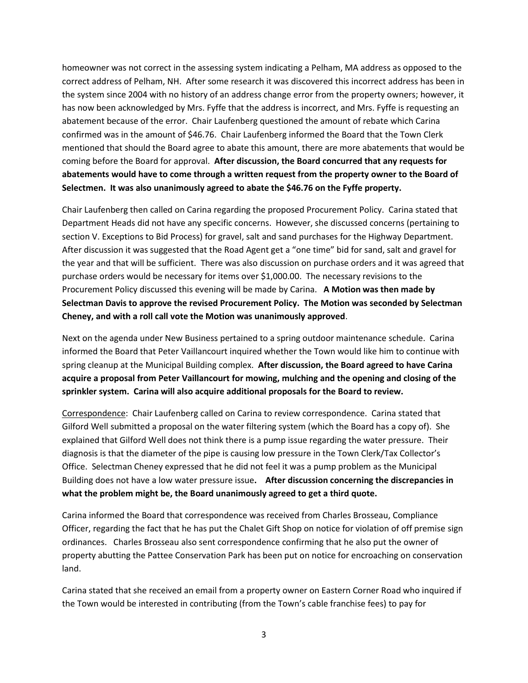homeowner was not correct in the assessing system indicating a Pelham, MA address as opposed to the correct address of Pelham, NH. After some research it was discovered this incorrect address has been in the system since 2004 with no history of an address change error from the property owners; however, it has now been acknowledged by Mrs. Fyffe that the address is incorrect, and Mrs. Fyffe is requesting an abatement because of the error. Chair Laufenberg questioned the amount of rebate which Carina confirmed was in the amount of \$46.76. Chair Laufenberg informed the Board that the Town Clerk mentioned that should the Board agree to abate this amount, there are more abatements that would be coming before the Board for approval. **After discussion, the Board concurred that any requests for abatements would have to come through a written request from the property owner to the Board of Selectmen. It was also unanimously agreed to abate the \$46.76 on the Fyffe property.** 

Chair Laufenberg then called on Carina regarding the proposed Procurement Policy. Carina stated that Department Heads did not have any specific concerns. However, she discussed concerns (pertaining to section V. Exceptions to Bid Process) for gravel, salt and sand purchases for the Highway Department. After discussion it was suggested that the Road Agent get a "one time" bid for sand, salt and gravel for the year and that will be sufficient. There was also discussion on purchase orders and it was agreed that purchase orders would be necessary for items over \$1,000.00. The necessary revisions to the Procurement Policy discussed this evening will be made by Carina. **A Motion was then made by Selectman Davis to approve the revised Procurement Policy. The Motion was seconded by Selectman Cheney, and with a roll call vote the Motion was unanimously approved**.

Next on the agenda under New Business pertained to a spring outdoor maintenance schedule. Carina informed the Board that Peter Vaillancourt inquired whether the Town would like him to continue with spring cleanup at the Municipal Building complex. **After discussion, the Board agreed to have Carina acquire a proposal from Peter Vaillancourt for mowing, mulching and the opening and closing of the sprinkler system. Carina will also acquire additional proposals for the Board to review.**

Correspondence: Chair Laufenberg called on Carina to review correspondence. Carina stated that Gilford Well submitted a proposal on the water filtering system (which the Board has a copy of). She explained that Gilford Well does not think there is a pump issue regarding the water pressure. Their diagnosis is that the diameter of the pipe is causing low pressure in the Town Clerk/Tax Collector's Office. Selectman Cheney expressed that he did not feel it was a pump problem as the Municipal Building does not have a low water pressure issue**. After discussion concerning the discrepancies in what the problem might be, the Board unanimously agreed to get a third quote.**

Carina informed the Board that correspondence was received from Charles Brosseau, Compliance Officer, regarding the fact that he has put the Chalet Gift Shop on notice for violation of off premise sign ordinances. Charles Brosseau also sent correspondence confirming that he also put the owner of property abutting the Pattee Conservation Park has been put on notice for encroaching on conservation land.

Carina stated that she received an email from a property owner on Eastern Corner Road who inquired if the Town would be interested in contributing (from the Town's cable franchise fees) to pay for